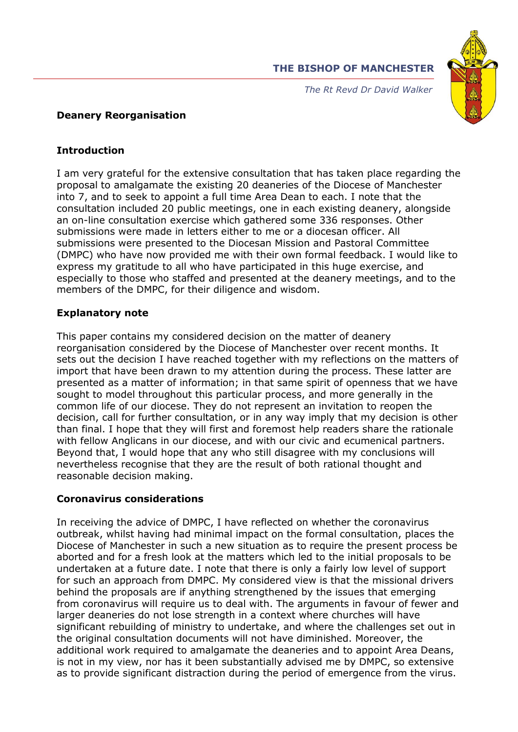



*The Rt Revd Dr David Walker* 

## **Deanery Reorganisation**

## **Introduction**

I am very grateful for the extensive consultation that has taken place regarding the proposal to amalgamate the existing 20 deaneries of the Diocese of Manchester into 7, and to seek to appoint a full time Area Dean to each. I note that the consultation included 20 public meetings, one in each existing deanery, alongside an on-line consultation exercise which gathered some 336 responses. Other submissions were made in letters either to me or a diocesan officer. All submissions were presented to the Diocesan Mission and Pastoral Committee (DMPC) who have now provided me with their own formal feedback. I would like to express my gratitude to all who have participated in this huge exercise, and especially to those who staffed and presented at the deanery meetings, and to the members of the DMPC, for their diligence and wisdom.

## **Explanatory note**

This paper contains my considered decision on the matter of deanery reorganisation considered by the Diocese of Manchester over recent months. It sets out the decision I have reached together with my reflections on the matters of import that have been drawn to my attention during the process. These latter are presented as a matter of information; in that same spirit of openness that we have sought to model throughout this particular process, and more generally in the common life of our diocese. They do not represent an invitation to reopen the decision, call for further consultation, or in any way imply that my decision is other than final. I hope that they will first and foremost help readers share the rationale with fellow Anglicans in our diocese, and with our civic and ecumenical partners. Beyond that, I would hope that any who still disagree with my conclusions will nevertheless recognise that they are the result of both rational thought and reasonable decision making.

# **Coronavirus considerations**

In receiving the advice of DMPC, I have reflected on whether the coronavirus outbreak, whilst having had minimal impact on the formal consultation, places the Diocese of Manchester in such a new situation as to require the present process be aborted and for a fresh look at the matters which led to the initial proposals to be undertaken at a future date. I note that there is only a fairly low level of support for such an approach from DMPC. My considered view is that the missional drivers behind the proposals are if anything strengthened by the issues that emerging from coronavirus will require us to deal with. The arguments in favour of fewer and larger deaneries do not lose strength in a context where churches will have significant rebuilding of ministry to undertake, and where the challenges set out in the original consultation documents will not have diminished. Moreover, the additional work required to amalgamate the deaneries and to appoint Area Deans, is not in my view, nor has it been substantially advised me by DMPC, so extensive as to provide significant distraction during the period of emergence from the virus.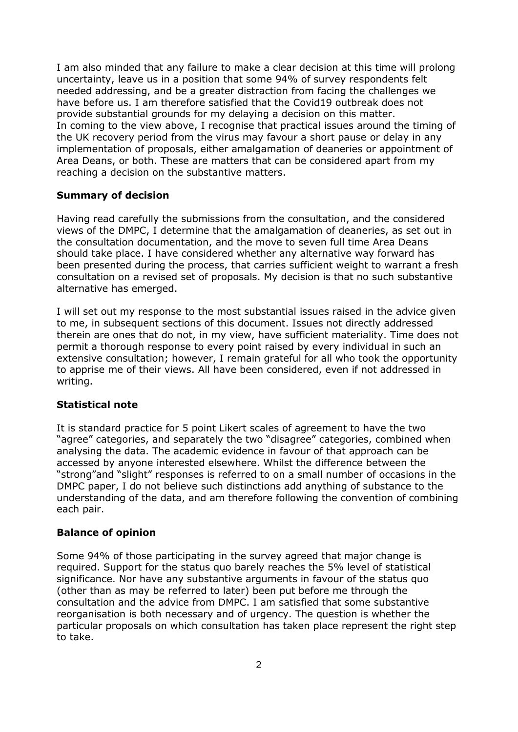I am also minded that any failure to make a clear decision at this time will prolong uncertainty, leave us in a position that some 94% of survey respondents felt needed addressing, and be a greater distraction from facing the challenges we have before us. I am therefore satisfied that the Covid19 outbreak does not provide substantial grounds for my delaying a decision on this matter. In coming to the view above, I recognise that practical issues around the timing of the UK recovery period from the virus may favour a short pause or delay in any implementation of proposals, either amalgamation of deaneries or appointment of Area Deans, or both. These are matters that can be considered apart from my reaching a decision on the substantive matters.

#### **Summary of decision**

Having read carefully the submissions from the consultation, and the considered views of the DMPC, I determine that the amalgamation of deaneries, as set out in the consultation documentation, and the move to seven full time Area Deans should take place. I have considered whether any alternative way forward has been presented during the process, that carries sufficient weight to warrant a fresh consultation on a revised set of proposals. My decision is that no such substantive alternative has emerged.

I will set out my response to the most substantial issues raised in the advice given to me, in subsequent sections of this document. Issues not directly addressed therein are ones that do not, in my view, have sufficient materiality. Time does not permit a thorough response to every point raised by every individual in such an extensive consultation; however, I remain grateful for all who took the opportunity to apprise me of their views. All have been considered, even if not addressed in writing.

#### **Statistical note**

It is standard practice for 5 point Likert scales of agreement to have the two "agree" categories, and separately the two "disagree" categories, combined when analysing the data. The academic evidence in favour of that approach can be accessed by anyone interested elsewhere. Whilst the difference between the "strong"and "slight" responses is referred to on a small number of occasions in the DMPC paper, I do not believe such distinctions add anything of substance to the understanding of the data, and am therefore following the convention of combining each pair.

#### **Balance of opinion**

Some 94% of those participating in the survey agreed that major change is required. Support for the status quo barely reaches the 5% level of statistical significance. Nor have any substantive arguments in favour of the status quo (other than as may be referred to later) been put before me through the consultation and the advice from DMPC. I am satisfied that some substantive reorganisation is both necessary and of urgency. The question is whether the particular proposals on which consultation has taken place represent the right step to take.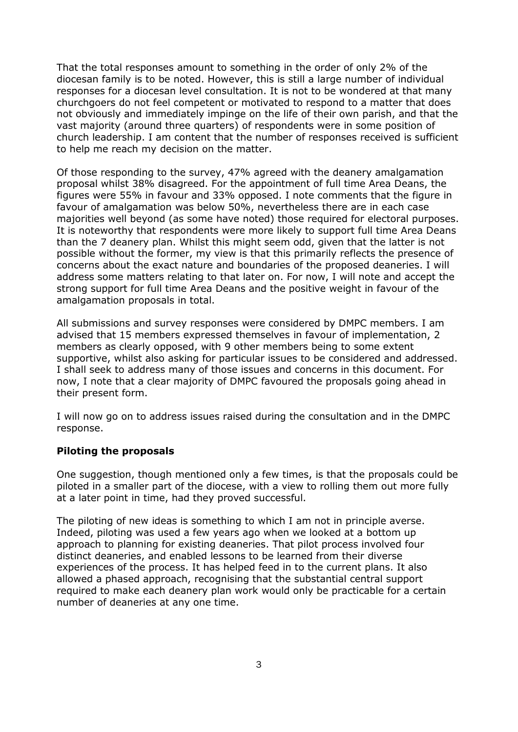That the total responses amount to something in the order of only 2% of the diocesan family is to be noted. However, this is still a large number of individual responses for a diocesan level consultation. It is not to be wondered at that many churchgoers do not feel competent or motivated to respond to a matter that does not obviously and immediately impinge on the life of their own parish, and that the vast majority (around three quarters) of respondents were in some position of church leadership. I am content that the number of responses received is sufficient to help me reach my decision on the matter.

Of those responding to the survey, 47% agreed with the deanery amalgamation proposal whilst 38% disagreed. For the appointment of full time Area Deans, the figures were 55% in favour and 33% opposed. I note comments that the figure in favour of amalgamation was below 50%, nevertheless there are in each case majorities well beyond (as some have noted) those required for electoral purposes. It is noteworthy that respondents were more likely to support full time Area Deans than the 7 deanery plan. Whilst this might seem odd, given that the latter is not possible without the former, my view is that this primarily reflects the presence of concerns about the exact nature and boundaries of the proposed deaneries. I will address some matters relating to that later on. For now, I will note and accept the strong support for full time Area Deans and the positive weight in favour of the amalgamation proposals in total.

All submissions and survey responses were considered by DMPC members. I am advised that 15 members expressed themselves in favour of implementation, 2 members as clearly opposed, with 9 other members being to some extent supportive, whilst also asking for particular issues to be considered and addressed. I shall seek to address many of those issues and concerns in this document. For now, I note that a clear majority of DMPC favoured the proposals going ahead in their present form.

I will now go on to address issues raised during the consultation and in the DMPC response.

#### **Piloting the proposals**

One suggestion, though mentioned only a few times, is that the proposals could be piloted in a smaller part of the diocese, with a view to rolling them out more fully at a later point in time, had they proved successful.

The piloting of new ideas is something to which I am not in principle averse. Indeed, piloting was used a few years ago when we looked at a bottom up approach to planning for existing deaneries. That pilot process involved four distinct deaneries, and enabled lessons to be learned from their diverse experiences of the process. It has helped feed in to the current plans. It also allowed a phased approach, recognising that the substantial central support required to make each deanery plan work would only be practicable for a certain number of deaneries at any one time.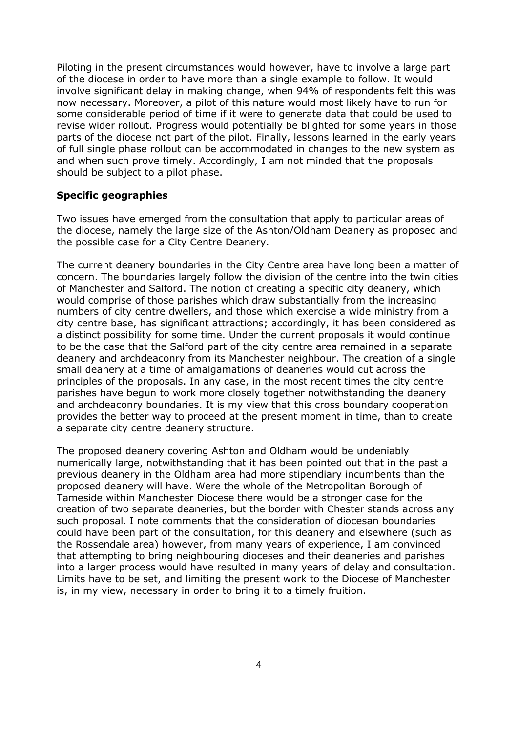Piloting in the present circumstances would however, have to involve a large part of the diocese in order to have more than a single example to follow. It would involve significant delay in making change, when 94% of respondents felt this was now necessary. Moreover, a pilot of this nature would most likely have to run for some considerable period of time if it were to generate data that could be used to revise wider rollout. Progress would potentially be blighted for some years in those parts of the diocese not part of the pilot. Finally, lessons learned in the early years of full single phase rollout can be accommodated in changes to the new system as and when such prove timely. Accordingly, I am not minded that the proposals should be subject to a pilot phase.

#### **Specific geographies**

Two issues have emerged from the consultation that apply to particular areas of the diocese, namely the large size of the Ashton/Oldham Deanery as proposed and the possible case for a City Centre Deanery.

The current deanery boundaries in the City Centre area have long been a matter of concern. The boundaries largely follow the division of the centre into the twin cities of Manchester and Salford. The notion of creating a specific city deanery, which would comprise of those parishes which draw substantially from the increasing numbers of city centre dwellers, and those which exercise a wide ministry from a city centre base, has significant attractions; accordingly, it has been considered as a distinct possibility for some time. Under the current proposals it would continue to be the case that the Salford part of the city centre area remained in a separate deanery and archdeaconry from its Manchester neighbour. The creation of a single small deanery at a time of amalgamations of deaneries would cut across the principles of the proposals. In any case, in the most recent times the city centre parishes have begun to work more closely together notwithstanding the deanery and archdeaconry boundaries. It is my view that this cross boundary cooperation provides the better way to proceed at the present moment in time, than to create a separate city centre deanery structure.

The proposed deanery covering Ashton and Oldham would be undeniably numerically large, notwithstanding that it has been pointed out that in the past a previous deanery in the Oldham area had more stipendiary incumbents than the proposed deanery will have. Were the whole of the Metropolitan Borough of Tameside within Manchester Diocese there would be a stronger case for the creation of two separate deaneries, but the border with Chester stands across any such proposal. I note comments that the consideration of diocesan boundaries could have been part of the consultation, for this deanery and elsewhere (such as the Rossendale area) however, from many years of experience, I am convinced that attempting to bring neighbouring dioceses and their deaneries and parishes into a larger process would have resulted in many years of delay and consultation. Limits have to be set, and limiting the present work to the Diocese of Manchester is, in my view, necessary in order to bring it to a timely fruition.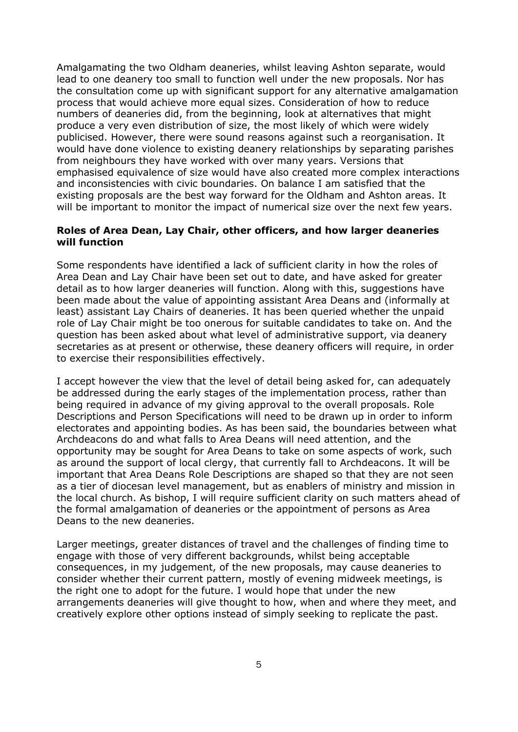Amalgamating the two Oldham deaneries, whilst leaving Ashton separate, would lead to one deanery too small to function well under the new proposals. Nor has the consultation come up with significant support for any alternative amalgamation process that would achieve more equal sizes. Consideration of how to reduce numbers of deaneries did, from the beginning, look at alternatives that might produce a very even distribution of size, the most likely of which were widely publicised. However, there were sound reasons against such a reorganisation. It would have done violence to existing deanery relationships by separating parishes from neighbours they have worked with over many years. Versions that emphasised equivalence of size would have also created more complex interactions and inconsistencies with civic boundaries. On balance I am satisfied that the existing proposals are the best way forward for the Oldham and Ashton areas. It will be important to monitor the impact of numerical size over the next few years.

#### **Roles of Area Dean, Lay Chair, other officers, and how larger deaneries will function**

Some respondents have identified a lack of sufficient clarity in how the roles of Area Dean and Lay Chair have been set out to date, and have asked for greater detail as to how larger deaneries will function. Along with this, suggestions have been made about the value of appointing assistant Area Deans and (informally at least) assistant Lay Chairs of deaneries. It has been queried whether the unpaid role of Lay Chair might be too onerous for suitable candidates to take on. And the question has been asked about what level of administrative support, via deanery secretaries as at present or otherwise, these deanery officers will require, in order to exercise their responsibilities effectively.

I accept however the view that the level of detail being asked for, can adequately be addressed during the early stages of the implementation process, rather than being required in advance of my giving approval to the overall proposals. Role Descriptions and Person Specifications will need to be drawn up in order to inform electorates and appointing bodies. As has been said, the boundaries between what Archdeacons do and what falls to Area Deans will need attention, and the opportunity may be sought for Area Deans to take on some aspects of work, such as around the support of local clergy, that currently fall to Archdeacons. It will be important that Area Deans Role Descriptions are shaped so that they are not seen as a tier of diocesan level management, but as enablers of ministry and mission in the local church. As bishop, I will require sufficient clarity on such matters ahead of the formal amalgamation of deaneries or the appointment of persons as Area Deans to the new deaneries.

Larger meetings, greater distances of travel and the challenges of finding time to engage with those of very different backgrounds, whilst being acceptable consequences, in my judgement, of the new proposals, may cause deaneries to consider whether their current pattern, mostly of evening midweek meetings, is the right one to adopt for the future. I would hope that under the new arrangements deaneries will give thought to how, when and where they meet, and creatively explore other options instead of simply seeking to replicate the past.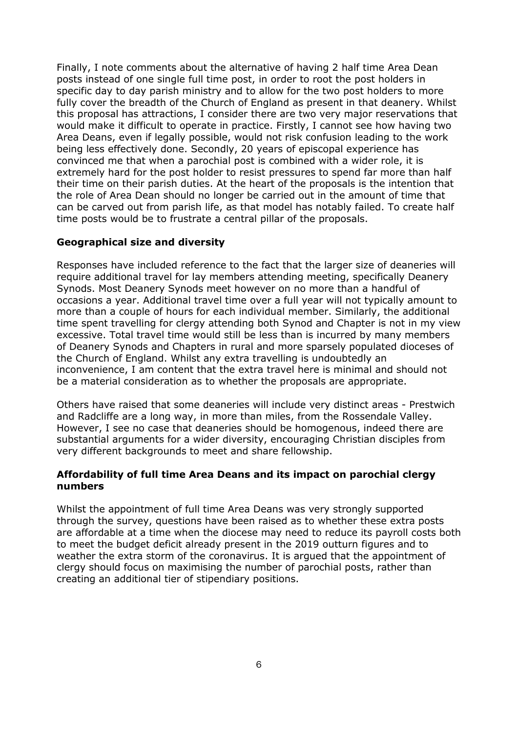Finally, I note comments about the alternative of having 2 half time Area Dean posts instead of one single full time post, in order to root the post holders in specific day to day parish ministry and to allow for the two post holders to more fully cover the breadth of the Church of England as present in that deanery. Whilst this proposal has attractions, I consider there are two very major reservations that would make it difficult to operate in practice. Firstly, I cannot see how having two Area Deans, even if legally possible, would not risk confusion leading to the work being less effectively done. Secondly, 20 years of episcopal experience has convinced me that when a parochial post is combined with a wider role, it is extremely hard for the post holder to resist pressures to spend far more than half their time on their parish duties. At the heart of the proposals is the intention that the role of Area Dean should no longer be carried out in the amount of time that can be carved out from parish life, as that model has notably failed. To create half time posts would be to frustrate a central pillar of the proposals.

### **Geographical size and diversity**

Responses have included reference to the fact that the larger size of deaneries will require additional travel for lay members attending meeting, specifically Deanery Synods. Most Deanery Synods meet however on no more than a handful of occasions a year. Additional travel time over a full year will not typically amount to more than a couple of hours for each individual member. Similarly, the additional time spent travelling for clergy attending both Synod and Chapter is not in my view excessive. Total travel time would still be less than is incurred by many members of Deanery Synods and Chapters in rural and more sparsely populated dioceses of the Church of England. Whilst any extra travelling is undoubtedly an inconvenience, I am content that the extra travel here is minimal and should not be a material consideration as to whether the proposals are appropriate.

Others have raised that some deaneries will include very distinct areas - Prestwich and Radcliffe are a long way, in more than miles, from the Rossendale Valley. However, I see no case that deaneries should be homogenous, indeed there are substantial arguments for a wider diversity, encouraging Christian disciples from very different backgrounds to meet and share fellowship.

### **Affordability of full time Area Deans and its impact on parochial clergy numbers**

Whilst the appointment of full time Area Deans was very strongly supported through the survey, questions have been raised as to whether these extra posts are affordable at a time when the diocese may need to reduce its payroll costs both to meet the budget deficit already present in the 2019 outturn figures and to weather the extra storm of the coronavirus. It is argued that the appointment of clergy should focus on maximising the number of parochial posts, rather than creating an additional tier of stipendiary positions.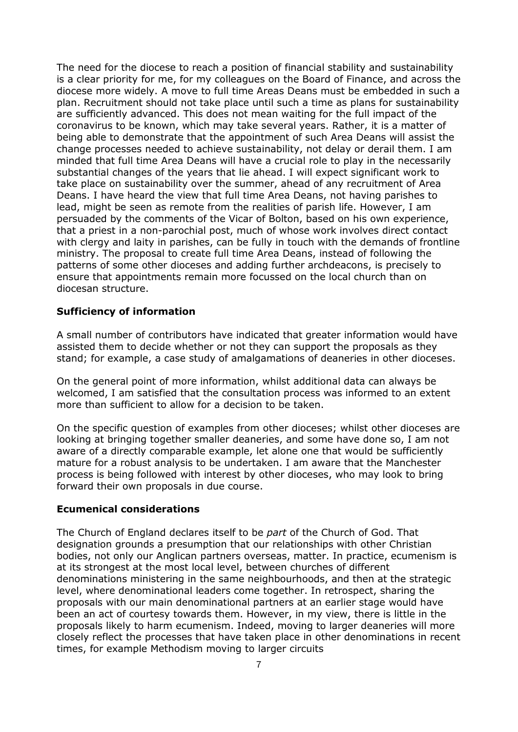The need for the diocese to reach a position of financial stability and sustainability is a clear priority for me, for my colleagues on the Board of Finance, and across the diocese more widely. A move to full time Areas Deans must be embedded in such a plan. Recruitment should not take place until such a time as plans for sustainability are sufficiently advanced. This does not mean waiting for the full impact of the coronavirus to be known, which may take several years. Rather, it is a matter of being able to demonstrate that the appointment of such Area Deans will assist the change processes needed to achieve sustainability, not delay or derail them. I am minded that full time Area Deans will have a crucial role to play in the necessarily substantial changes of the years that lie ahead. I will expect significant work to take place on sustainability over the summer, ahead of any recruitment of Area Deans. I have heard the view that full time Area Deans, not having parishes to lead, might be seen as remote from the realities of parish life. However, I am persuaded by the comments of the Vicar of Bolton, based on his own experience, that a priest in a non-parochial post, much of whose work involves direct contact with clergy and laity in parishes, can be fully in touch with the demands of frontline ministry. The proposal to create full time Area Deans, instead of following the patterns of some other dioceses and adding further archdeacons, is precisely to ensure that appointments remain more focussed on the local church than on diocesan structure.

### **Sufficiency of information**

A small number of contributors have indicated that greater information would have assisted them to decide whether or not they can support the proposals as they stand; for example, a case study of amalgamations of deaneries in other dioceses.

On the general point of more information, whilst additional data can always be welcomed, I am satisfied that the consultation process was informed to an extent more than sufficient to allow for a decision to be taken.

On the specific question of examples from other dioceses; whilst other dioceses are looking at bringing together smaller deaneries, and some have done so, I am not aware of a directly comparable example, let alone one that would be sufficiently mature for a robust analysis to be undertaken. I am aware that the Manchester process is being followed with interest by other dioceses, who may look to bring forward their own proposals in due course.

#### **Ecumenical considerations**

The Church of England declares itself to be *part* of the Church of God. That designation grounds a presumption that our relationships with other Christian bodies, not only our Anglican partners overseas, matter. In practice, ecumenism is at its strongest at the most local level, between churches of different denominations ministering in the same neighbourhoods, and then at the strategic level, where denominational leaders come together. In retrospect, sharing the proposals with our main denominational partners at an earlier stage would have been an act of courtesy towards them. However, in my view, there is little in the proposals likely to harm ecumenism. Indeed, moving to larger deaneries will more closely reflect the processes that have taken place in other denominations in recent times, for example Methodism moving to larger circuits